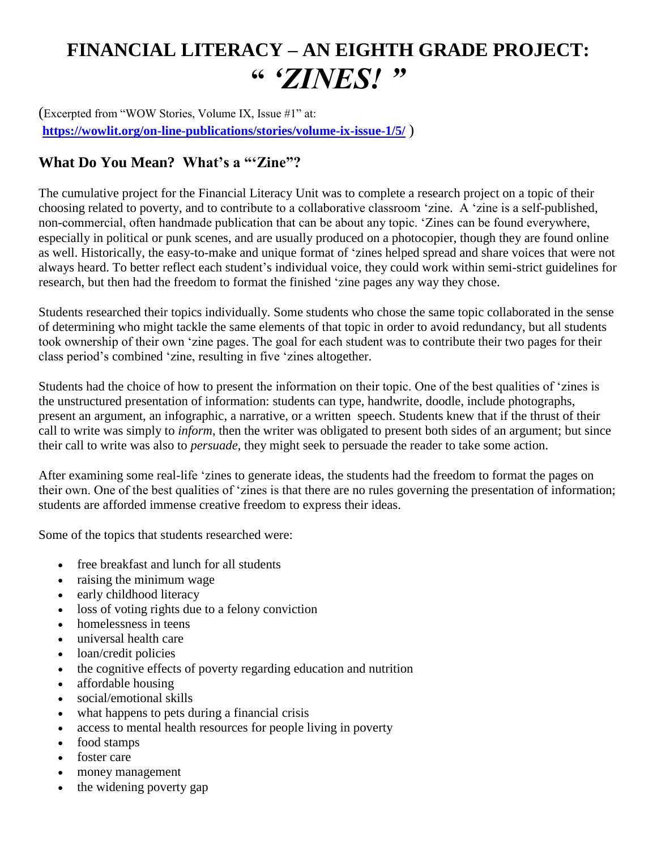## **FINANCIAL LITERACY – AN EIGHTH GRADE PROJECT: "** *'ZINES! "*

(Excerpted from "WOW Stories, Volume IX, Issue #1" at: **<https://wowlit.org/on-line-publications/stories/volume-ix-issue-1/5/>** )

## **What Do You Mean? What's a "'Zine"?**

The cumulative project for the Financial Literacy Unit was to complete a research project on a topic of their choosing related to poverty, and to contribute to a collaborative classroom 'zine. A 'zine is a self-published, non-commercial, often handmade publication that can be about any topic. 'Zines can be found everywhere, especially in political or punk scenes, and are usually produced on a photocopier, though they are found online as well. Historically, the easy-to-make and unique format of 'zines helped spread and share voices that were not always heard. To better reflect each student's individual voice, they could work within semi-strict guidelines for research, but then had the freedom to format the finished 'zine pages any way they chose.

Students researched their topics individually. Some students who chose the same topic collaborated in the sense of determining who might tackle the same elements of that topic in order to avoid redundancy, but all students took ownership of their own 'zine pages. The goal for each student was to contribute their two pages for their class period's combined 'zine, resulting in five 'zines altogether.

Students had the choice of how to present the information on their topic. One of the best qualities of 'zines is the unstructured presentation of information: students can type, handwrite, doodle, include photographs, present an argument, an infographic, a narrative, or a written speech. Students knew that if the thrust of their call to write was simply to *inform*, then the writer was obligated to present both sides of an argument; but since their call to write was also to *persuade*, they might seek to persuade the reader to take some action.

After examining some real-life 'zines to generate ideas, the students had the freedom to format the pages on their own. One of the best qualities of 'zines is that there are no rules governing the presentation of information; students are afforded immense creative freedom to express their ideas.

Some of the topics that students researched were:

- free breakfast and lunch for all students
- raising the minimum wage
- early childhood literacy
- loss of voting rights due to a felony conviction
- homelessness in teens
- universal health care
- loan/credit policies
- the cognitive effects of poverty regarding education and nutrition
- affordable housing
- social/emotional skills
- what happens to pets during a financial crisis
- access to mental health resources for people living in poverty
- food stamps
- foster care
- money management
- the widening poverty gap